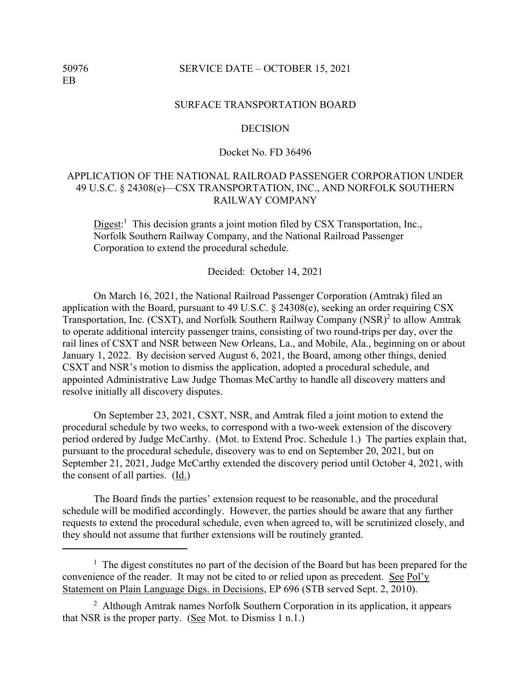## 50976 SERVICE DATE – OCTOBER 15, 2021

#### SURFACE TRANSPORTATION BOARD

### **DECISION**

# Docket No. FD 36496

# APPLICATION OF THE NATIONAL RAILROAD PASSENGER CORPORATION UNDER 49 U.S.C. § 24308(e)—CSX TRANSPORTATION, INC., AND NORFOLK SOUTHERN RAILWAY COMPANY

Digest:<sup>1</sup> This decision grants a joint motion filed by CSX Transportation, Inc., Norfolk Southern Railway Company, and the National Railroad Passenger Corporation to extend the procedural schedule.

#### Decided: October 14, 2021

On March 16, 2021, the National Railroad Passenger Corporation (Amtrak) filed an application with the Board, pursuant to 49 U.S.C. § 24308(e), seeking an order requiring CSX Transportation, Inc. (CSXT), and Norfolk Southern Railway Company  $(NSR)^2$  to allow Amtrak to operate additional intercity passenger trains, consisting of two round-trips per day, over the rail lines of CSXT and NSR between New Orleans, La., and Mobile, Ala., beginning on or about January 1, 2022. By decision served August 6, 2021, the Board, among other things, denied CSXT and NSR's motion to dismiss the application, adopted a procedural schedule, and appointed Administrative Law Judge Thomas McCarthy to handle all discovery matters and resolve initially all discovery disputes.

On September 23, 2021, CSXT, NSR, and Amtrak filed a joint motion to extend the procedural schedule by two weeks, to correspond with a two-week extension of the discovery period ordered by Judge McCarthy. (Mot. to Extend Proc. Schedule 1.) The parties explain that, pursuant to the procedural schedule, discovery was to end on September 20, 2021, but on September 21, 2021, Judge McCarthy extended the discovery period until October 4, 2021, with the consent of all parties. (Id.)

The Board finds the parties' extension request to be reasonable, and the procedural schedule will be modified accordingly. However, the parties should be aware that any further requests to extend the procedural schedule, even when agreed to, will be scrutinized closely, and they should not assume that further extensions will be routinely granted.

<sup>&</sup>lt;sup>1</sup> The digest constitutes no part of the decision of the Board but has been prepared for the convenience of the reader. It may not be cited to or relied upon as precedent. See Pol'y Statement on Plain Language Digs. in Decisions, EP 696 (STB served Sept. 2, 2010).

<sup>&</sup>lt;sup>2</sup> Although Amtrak names Norfolk Southern Corporation in its application, it appears that NSR is the proper party. (See Mot. to Dismiss 1 n.1.)